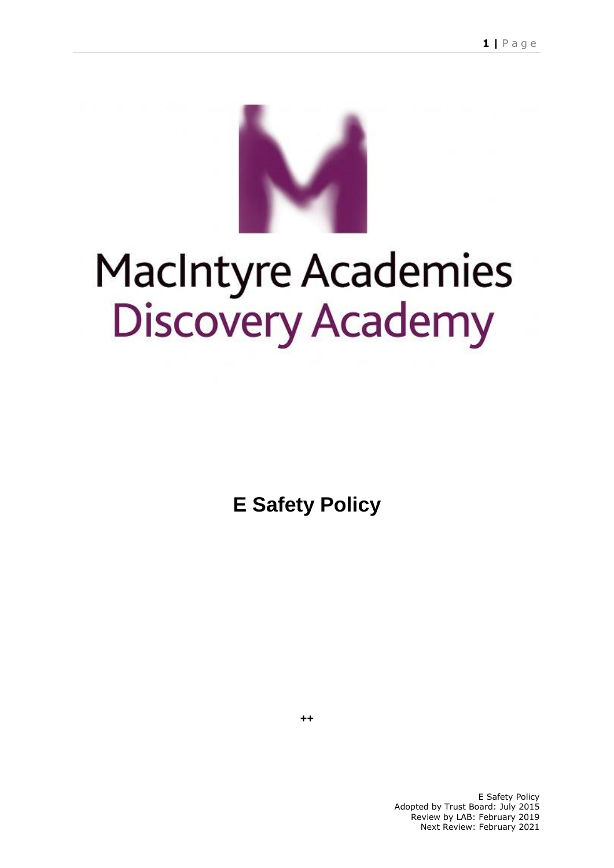

# MacIntyre Academies<br>Discovery Academy

**E Safety Policy** 

**++**

E Safety Policy Adopted by Trust Board: July 2015 Review by LAB: February 2019 Next Review: February 2021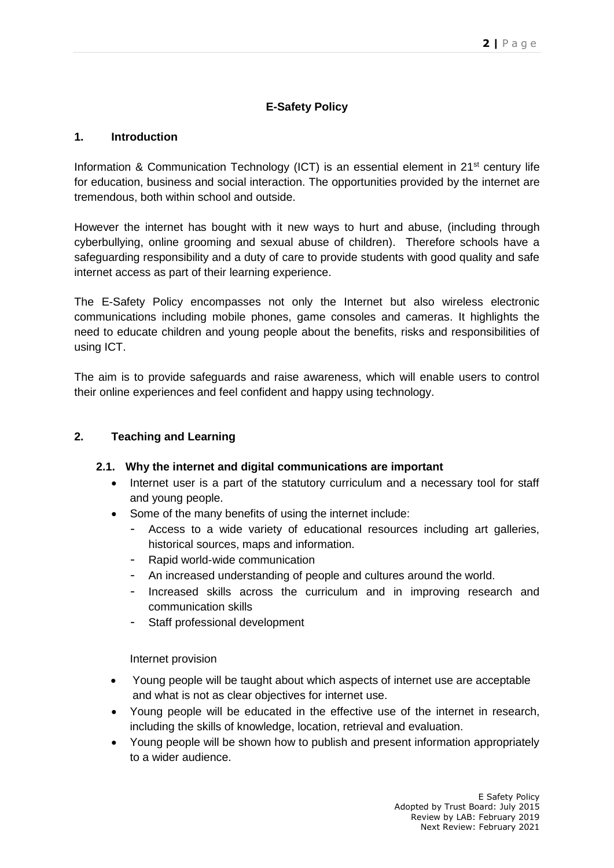# **E-Safety Policy**

### **1. Introduction**

Information & Communication Technology (ICT) is an essential element in  $21<sup>st</sup>$  century life for education, business and social interaction. The opportunities provided by the internet are tremendous, both within school and outside.

However the internet has bought with it new ways to hurt and abuse, (including through cyberbullying, online grooming and sexual abuse of children). Therefore schools have a safeguarding responsibility and a duty of care to provide students with good quality and safe internet access as part of their learning experience.

The E-Safety Policy encompasses not only the Internet but also wireless electronic communications including mobile phones, game consoles and cameras. It highlights the need to educate children and young people about the benefits, risks and responsibilities of using ICT.

The aim is to provide safeguards and raise awareness, which will enable users to control their online experiences and feel confident and happy using technology.

## **2. Teaching and Learning**

### **2.1. Why the internet and digital communications are important**

- Internet user is a part of the statutory curriculum and a necessary tool for staff and young people.
- Some of the many benefits of using the internet include:
	- Access to a wide variety of educational resources including art galleries, historical sources, maps and information.
	- Rapid world-wide communication
	- An increased understanding of people and cultures around the world.
	- Increased skills across the curriculum and in improving research and communication skills
	- Staff professional development

Internet provision

- Young people will be taught about which aspects of internet use are acceptable and what is not as clear objectives for internet use.
- Young people will be educated in the effective use of the internet in research, including the skills of knowledge, location, retrieval and evaluation.
- Young people will be shown how to publish and present information appropriately to a wider audience.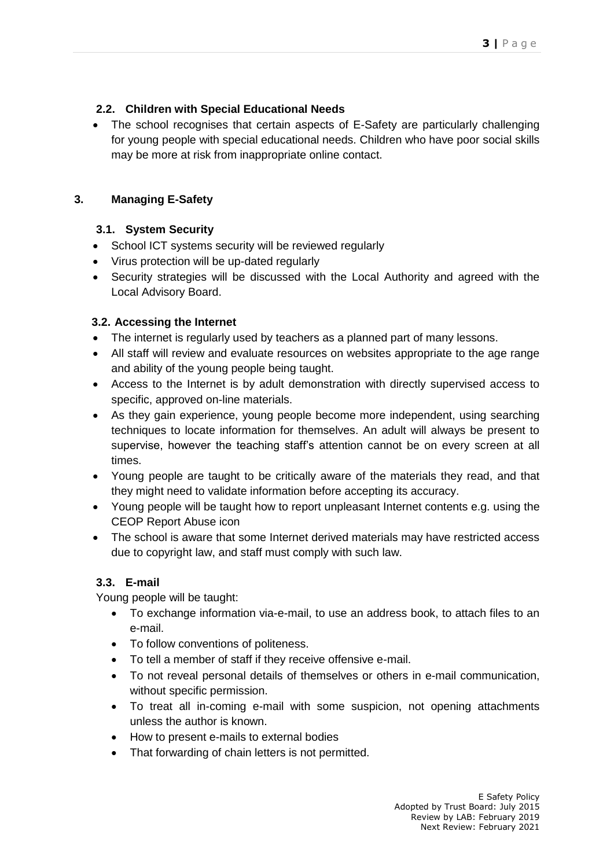## **2.2. Children with Special Educational Needs**

• The school recognises that certain aspects of E-Safety are particularly challenging for young people with special educational needs. Children who have poor social skills may be more at risk from inappropriate online contact.

## **3. Managing E-Safety**

## **3.1. System Security**

- School ICT systems security will be reviewed regularly
- Virus protection will be up-dated regularly
- Security strategies will be discussed with the Local Authority and agreed with the Local Advisory Board.

### **3.2. Accessing the Internet**

- The internet is regularly used by teachers as a planned part of many lessons.
- All staff will review and evaluate resources on websites appropriate to the age range and ability of the young people being taught.
- Access to the Internet is by adult demonstration with directly supervised access to specific, approved on-line materials.
- As they gain experience, young people become more independent, using searching techniques to locate information for themselves. An adult will always be present to supervise, however the teaching staff's attention cannot be on every screen at all times.
- Young people are taught to be critically aware of the materials they read, and that they might need to validate information before accepting its accuracy.
- Young people will be taught how to report unpleasant Internet contents e.g. using the CEOP Report Abuse icon
- The school is aware that some Internet derived materials may have restricted access due to copyright law, and staff must comply with such law.

# **3.3. E-mail**

Young people will be taught:

- To exchange information via-e-mail, to use an address book, to attach files to an e-mail.
- To follow conventions of politeness.
- To tell a member of staff if they receive offensive e-mail.
- To not reveal personal details of themselves or others in e-mail communication, without specific permission.
- To treat all in-coming e-mail with some suspicion, not opening attachments unless the author is known.
- How to present e-mails to external bodies
- That forwarding of chain letters is not permitted.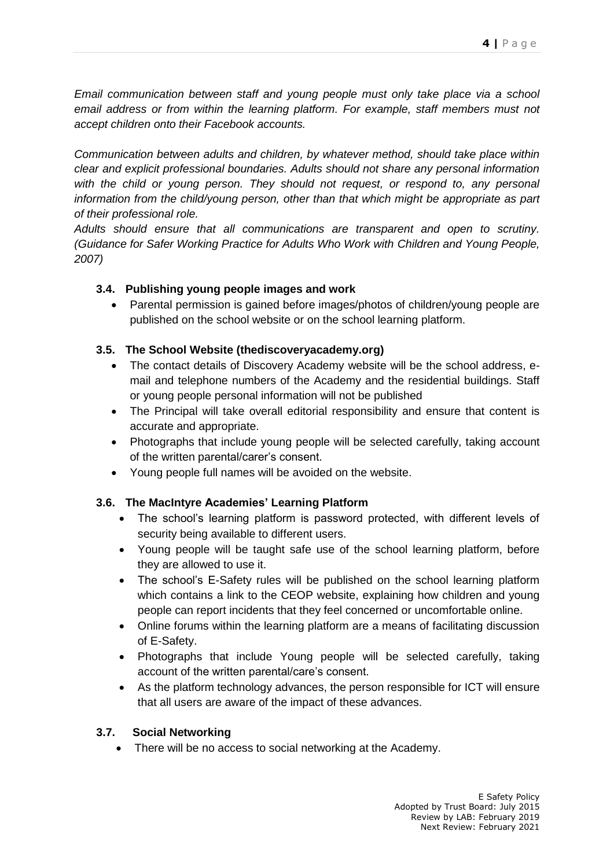*Email communication between staff and young people must only take place via a school email address or from within the learning platform. For example, staff members must not accept children onto their Facebook accounts.*

*Communication between adults and children, by whatever method, should take place within clear and explicit professional boundaries. Adults should not share any personal information with the child or young person. They should not request, or respond to, any personal information from the child/young person, other than that which might be appropriate as part of their professional role.*

*Adults should ensure that all communications are transparent and open to scrutiny. (Guidance for Safer Working Practice for Adults Who Work with Children and Young People, 2007)*

## **3.4. Publishing young people images and work**

 Parental permission is gained before images/photos of children/young people are published on the school website or on the school learning platform.

## **3.5. The School Website (thediscoveryacademy.org)**

- The contact details of Discovery Academy website will be the school address, email and telephone numbers of the Academy and the residential buildings. Staff or young people personal information will not be published
- The Principal will take overall editorial responsibility and ensure that content is accurate and appropriate.
- Photographs that include young people will be selected carefully, taking account of the written parental/carer's consent.
- Young people full names will be avoided on the website.

# **3.6. The MacIntyre Academies' Learning Platform**

- The school's learning platform is password protected, with different levels of security being available to different users.
- Young people will be taught safe use of the school learning platform, before they are allowed to use it.
- The school's E-Safety rules will be published on the school learning platform which contains a link to the CEOP website, explaining how children and young people can report incidents that they feel concerned or uncomfortable online.
- Online forums within the learning platform are a means of facilitating discussion of E-Safety.
- Photographs that include Young people will be selected carefully, taking account of the written parental/care's consent.
- As the platform technology advances, the person responsible for ICT will ensure that all users are aware of the impact of these advances.

## **3.7. Social Networking**

• There will be no access to social networking at the Academy.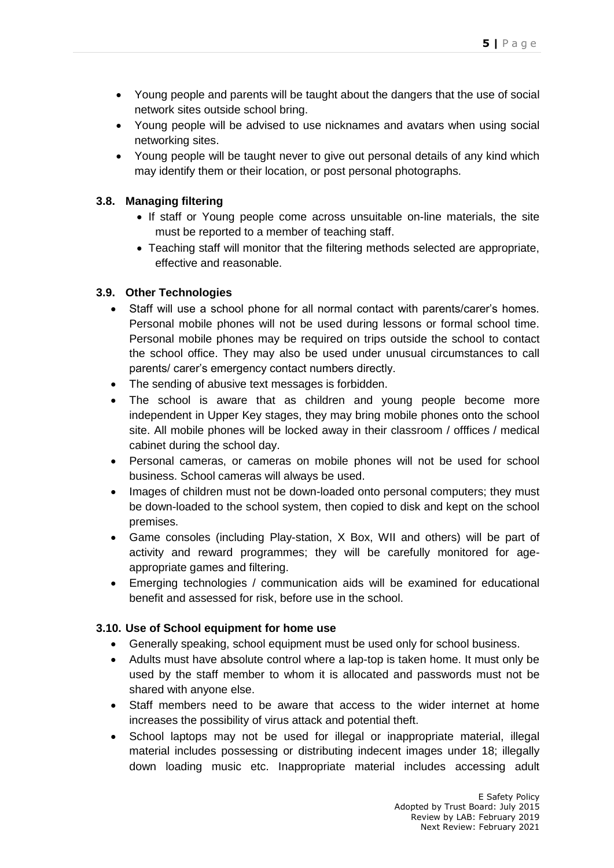- Young people and parents will be taught about the dangers that the use of social network sites outside school bring.
- Young people will be advised to use nicknames and avatars when using social networking sites.
- Young people will be taught never to give out personal details of any kind which may identify them or their location, or post personal photographs.

## **3.8. Managing filtering**

- If staff or Young people come across unsuitable on-line materials, the site must be reported to a member of teaching staff.
- Teaching staff will monitor that the filtering methods selected are appropriate, effective and reasonable.

## **3.9. Other Technologies**

- Staff will use a school phone for all normal contact with parents/carer's homes. Personal mobile phones will not be used during lessons or formal school time. Personal mobile phones may be required on trips outside the school to contact the school office. They may also be used under unusual circumstances to call parents/ carer's emergency contact numbers directly.
- The sending of abusive text messages is forbidden.
- The school is aware that as children and young people become more independent in Upper Key stages, they may bring mobile phones onto the school site. All mobile phones will be locked away in their classroom / offfices / medical cabinet during the school day.
- Personal cameras, or cameras on mobile phones will not be used for school business. School cameras will always be used.
- Images of children must not be down-loaded onto personal computers; they must be down-loaded to the school system, then copied to disk and kept on the school premises.
- Game consoles (including Play-station, X Box, WII and others) will be part of activity and reward programmes; they will be carefully monitored for ageappropriate games and filtering.
- Emerging technologies / communication aids will be examined for educational benefit and assessed for risk, before use in the school.

### **3.10. Use of School equipment for home use**

- Generally speaking, school equipment must be used only for school business.
- Adults must have absolute control where a lap-top is taken home. It must only be used by the staff member to whom it is allocated and passwords must not be shared with anyone else.
- Staff members need to be aware that access to the wider internet at home increases the possibility of virus attack and potential theft.
- School laptops may not be used for illegal or inappropriate material, illegal material includes possessing or distributing indecent images under 18; illegally down loading music etc. Inappropriate material includes accessing adult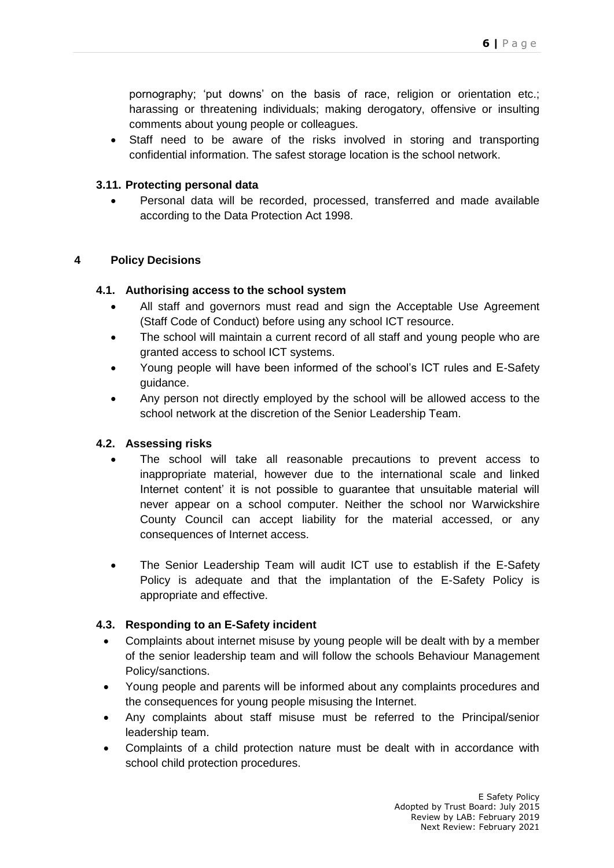pornography; 'put downs' on the basis of race, religion or orientation etc.; harassing or threatening individuals; making derogatory, offensive or insulting comments about young people or colleagues.

 Staff need to be aware of the risks involved in storing and transporting confidential information. The safest storage location is the school network.

### **3.11. Protecting personal data**

 Personal data will be recorded, processed, transferred and made available according to the Data Protection Act 1998.

#### **4 Policy Decisions**

#### **4.1. Authorising access to the school system**

- All staff and governors must read and sign the Acceptable Use Agreement (Staff Code of Conduct) before using any school ICT resource.
- The school will maintain a current record of all staff and young people who are granted access to school ICT systems.
- Young people will have been informed of the school's ICT rules and E-Safety guidance.
- Any person not directly employed by the school will be allowed access to the school network at the discretion of the Senior Leadership Team.

### **4.2. Assessing risks**

- The school will take all reasonable precautions to prevent access to inappropriate material, however due to the international scale and linked Internet content' it is not possible to guarantee that unsuitable material will never appear on a school computer. Neither the school nor Warwickshire County Council can accept liability for the material accessed, or any consequences of Internet access.
- The Senior Leadership Team will audit ICT use to establish if the E-Safety Policy is adequate and that the implantation of the E-Safety Policy is appropriate and effective.

#### **4.3. Responding to an E-Safety incident**

- Complaints about internet misuse by young people will be dealt with by a member of the senior leadership team and will follow the schools Behaviour Management Policy/sanctions.
- Young people and parents will be informed about any complaints procedures and the consequences for young people misusing the Internet.
- Any complaints about staff misuse must be referred to the Principal/senior leadership team.
- Complaints of a child protection nature must be dealt with in accordance with school child protection procedures.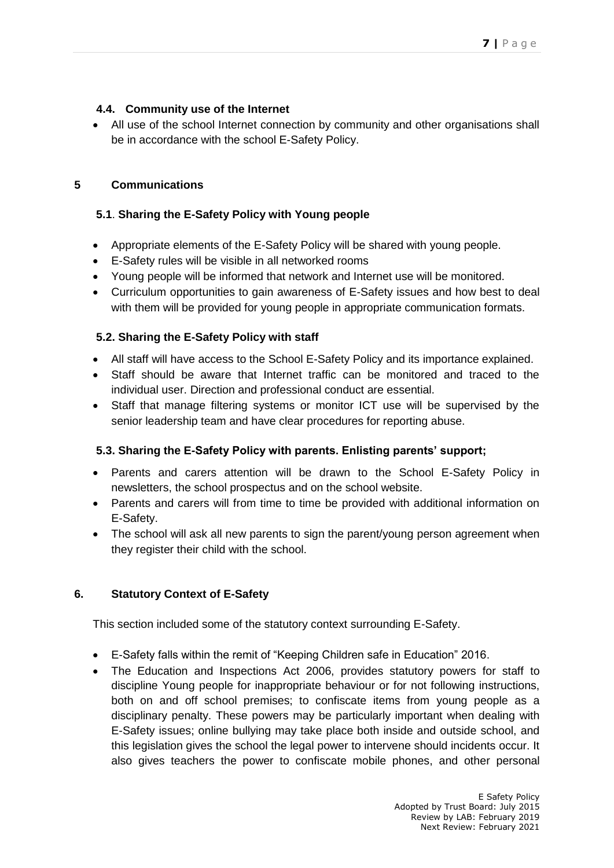## **4.4. Community use of the Internet**

• All use of the school Internet connection by community and other organisations shall be in accordance with the school E-Safety Policy.

## **5 Communications**

## **5.1**. **Sharing the E-Safety Policy with Young people**

- Appropriate elements of the E-Safety Policy will be shared with young people.
- E-Safety rules will be visible in all networked rooms
- Young people will be informed that network and Internet use will be monitored.
- Curriculum opportunities to gain awareness of E-Safety issues and how best to deal with them will be provided for young people in appropriate communication formats.

## **5.2. Sharing the E-Safety Policy with staff**

- All staff will have access to the School E-Safety Policy and its importance explained.
- Staff should be aware that Internet traffic can be monitored and traced to the individual user. Direction and professional conduct are essential.
- Staff that manage filtering systems or monitor ICT use will be supervised by the senior leadership team and have clear procedures for reporting abuse.

### **5.3. Sharing the E-Safety Policy with parents. Enlisting parents' support;**

- Parents and carers attention will be drawn to the School E-Safety Policy in newsletters, the school prospectus and on the school website.
- Parents and carers will from time to time be provided with additional information on E-Safety.
- The school will ask all new parents to sign the parent/young person agreement when they register their child with the school.

# **6. Statutory Context of E-Safety**

This section included some of the statutory context surrounding E-Safety.

- E-Safety falls within the remit of "Keeping Children safe in Education" 2016.
- The Education and Inspections Act 2006, provides statutory powers for staff to discipline Young people for inappropriate behaviour or for not following instructions, both on and off school premises; to confiscate items from young people as a disciplinary penalty. These powers may be particularly important when dealing with E-Safety issues; online bullying may take place both inside and outside school, and this legislation gives the school the legal power to intervene should incidents occur. It also gives teachers the power to confiscate mobile phones, and other personal